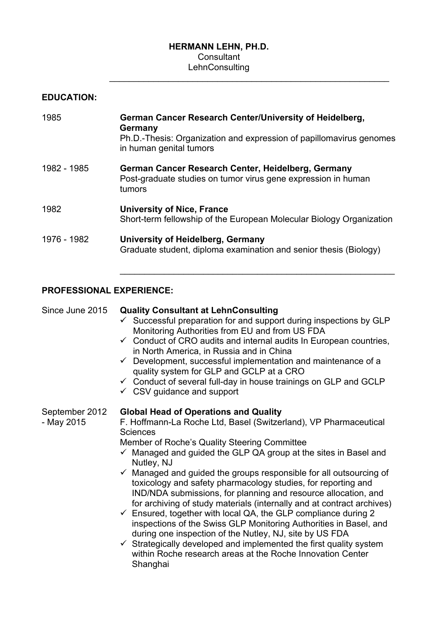#### **HERMANN LEHN, PH.D. Consultant**

# **LehnConsulting**  $\overline{\phantom{a}}$  ,  $\overline{\phantom{a}}$  ,  $\overline{\phantom{a}}$  ,  $\overline{\phantom{a}}$  ,  $\overline{\phantom{a}}$  ,  $\overline{\phantom{a}}$  ,  $\overline{\phantom{a}}$  ,  $\overline{\phantom{a}}$  ,  $\overline{\phantom{a}}$  ,  $\overline{\phantom{a}}$  ,  $\overline{\phantom{a}}$  ,  $\overline{\phantom{a}}$  ,  $\overline{\phantom{a}}$  ,  $\overline{\phantom{a}}$  ,  $\overline{\phantom{a}}$  ,  $\overline{\phantom{a}}$

| <b>EDUCATION:</b> |                                                                                                                                                                      |
|-------------------|----------------------------------------------------------------------------------------------------------------------------------------------------------------------|
| 1985              | German Cancer Research Center/University of Heidelberg,<br>Germany<br>Ph.D.-Thesis: Organization and expression of papillomavirus genomes<br>in human genital tumors |
| 1982 - 1985       | German Cancer Research Center, Heidelberg, Germany<br>Post-graduate studies on tumor virus gene expression in human<br>tumors                                        |
| 1982              | <b>University of Nice, France</b><br>Short-term fellowship of the European Molecular Biology Organization                                                            |
| 1976 - 1982       | <b>University of Heidelberg, Germany</b><br>Graduate student, diploma examination and senior thesis (Biology)                                                        |

 $\mathcal{L}_\text{max}$  , and the contract of the contract of the contract of the contract of the contract of the contract of the contract of the contract of the contract of the contract of the contract of the contract of the contr

## **PROFESSIONAL EXPERIENCE:**

Since June 2015 **Quality Consultant at LehnConsulting**   $\checkmark$  Successful preparation for and support during inspections by GLP Monitoring Authorities from EU and from US FDA  $\checkmark$  Conduct of CRO audits and internal audits In European countries, in North America, in Russia and in China  $\checkmark$  Development, successful implementation and maintenance of a quality system for GLP and GCLP at a CRO  $\checkmark$  Conduct of several full-day in house trainings on GLP and GCLP  $\checkmark$  CSV guidance and support September 2012 **Global Head of Operations and Quality** - May 2015 F. Hoffmann-La Roche Ltd, Basel (Switzerland), VP Pharmaceutical **Sciences**  Member of Roche's Quality Steering Committee  $\checkmark$  Managed and guided the GLP QA group at the sites in Basel and Nutley, NJ  $\checkmark$  Managed and guided the groups responsible for all outsourcing of toxicology and safety pharmacology studies, for reporting and IND/NDA submissions, for planning and resource allocation, and for archiving of study materials (internally and at contract archives)

- $\checkmark$  Ensured, together with local QA, the GLP compliance during 2 inspections of the Swiss GLP Monitoring Authorities in Basel, and during one inspection of the Nutley, NJ, site by US FDA
- $\checkmark$  Strategically developed and implemented the first quality system within Roche research areas at the Roche Innovation Center **Shanghai**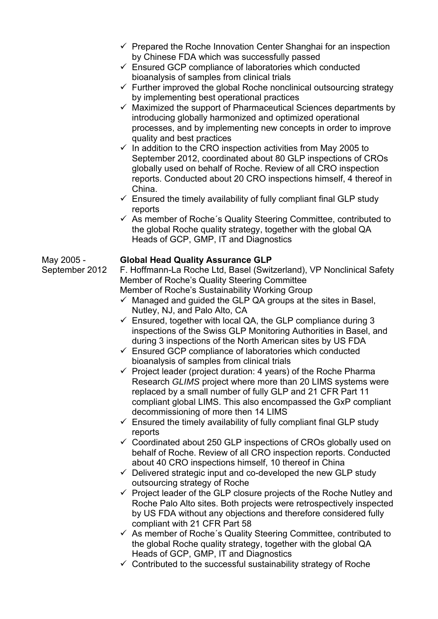- $\checkmark$  Prepared the Roche Innovation Center Shanghai for an inspection by Chinese FDA which was successfully passed
- $\checkmark$  Ensured GCP compliance of laboratories which conducted bioanalysis of samples from clinical trials
- $\checkmark$  Further improved the global Roche nonclinical outsourcing strategy by implementing best operational practices
- $\checkmark$  Maximized the support of Pharmaceutical Sciences departments by introducing globally harmonized and optimized operational processes, and by implementing new concepts in order to improve quality and best practices
- $\checkmark$  In addition to the CRO inspection activities from May 2005 to September 2012, coordinated about 80 GLP inspections of CROs globally used on behalf of Roche. Review of all CRO inspection reports. Conducted about 20 CRO inspections himself, 4 thereof in China.
- $\checkmark$  Ensured the timely availability of fully compliant final GLP study reports
- $\checkmark$  As member of Roche's Quality Steering Committee, contributed to the global Roche quality strategy, together with the global QA Heads of GCP, GMP, IT and Diagnostics

### May 2005 - **Global Head Quality Assurance GLP**

September 2012 F. Hoffmann-La Roche Ltd, Basel (Switzerland), VP Nonclinical Safety Member of Roche's Quality Steering Committee Member of Roche's Sustainability Working Group

- $\checkmark$  Managed and guided the GLP QA groups at the sites in Basel, Nutley, NJ, and Palo Alto, CA
- $\checkmark$  Ensured, together with local QA, the GLP compliance during 3 inspections of the Swiss GLP Monitoring Authorities in Basel, and during 3 inspections of the North American sites by US FDA
- $\checkmark$  Ensured GCP compliance of laboratories which conducted bioanalysis of samples from clinical trials
- $\checkmark$  Project leader (project duration: 4 years) of the Roche Pharma Research *GLIMS* project where more than 20 LIMS systems were replaced by a small number of fully GLP and 21 CFR Part 11 compliant global LIMS. This also encompassed the GxP compliant decommissioning of more then 14 LIMS
- $\checkmark$  Ensured the timely availability of fully compliant final GLP study reports
- $\checkmark$  Coordinated about 250 GLP inspections of CROs globally used on behalf of Roche. Review of all CRO inspection reports. Conducted about 40 CRO inspections himself, 10 thereof in China
- $\checkmark$  Delivered strategic input and co-developed the new GLP study outsourcing strategy of Roche
- $\checkmark$  Project leader of the GLP closure projects of the Roche Nutley and Roche Palo Alto sites. Both projects were retrospectively inspected by US FDA without any objections and therefore considered fully compliant with 21 CFR Part 58
- $\checkmark$  As member of Roche's Quality Steering Committee, contributed to the global Roche quality strategy, together with the global QA Heads of GCP, GMP, IT and Diagnostics
- $\checkmark$  Contributed to the successful sustainability strategy of Roche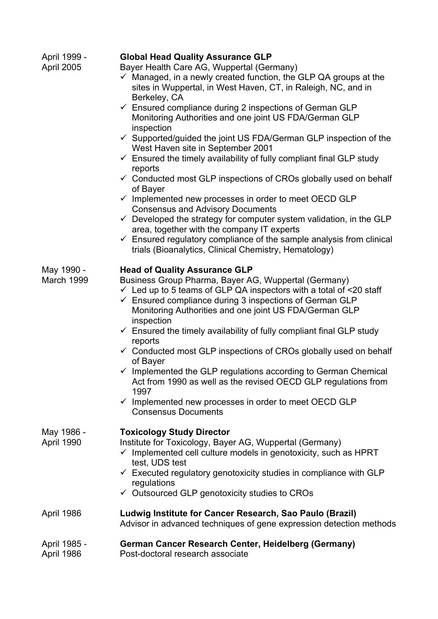| April 1999 -<br>April 2005 | <b>Global Head Quality Assurance GLP</b><br>Bayer Health Care AG, Wuppertal (Germany)<br>$\checkmark$ Managed, in a newly created function, the GLP QA groups at the<br>sites in Wuppertal, in West Haven, CT, in Raleigh, NC, and in<br>Berkeley, CA<br>$\checkmark$ Ensured compliance during 2 inspections of German GLP<br>Monitoring Authorities and one joint US FDA/German GLP<br>inspection<br>$\checkmark$ Supported/guided the joint US FDA/German GLP inspection of the<br>West Haven site in September 2001<br>$\checkmark$ Ensured the timely availability of fully compliant final GLP study<br>reports<br>$\checkmark$ Conducted most GLP inspections of CROs globally used on behalf<br>of Bayer<br>$\checkmark$ Implemented new processes in order to meet OECD GLP<br><b>Consensus and Advisory Documents</b><br>$\checkmark$ Developed the strategy for computer system validation, in the GLP<br>area, together with the company IT experts<br>$\checkmark$ Ensured regulatory compliance of the sample analysis from clinical<br>trials (Bioanalytics, Clinical Chemistry, Hematology) |
|----------------------------|-------------------------------------------------------------------------------------------------------------------------------------------------------------------------------------------------------------------------------------------------------------------------------------------------------------------------------------------------------------------------------------------------------------------------------------------------------------------------------------------------------------------------------------------------------------------------------------------------------------------------------------------------------------------------------------------------------------------------------------------------------------------------------------------------------------------------------------------------------------------------------------------------------------------------------------------------------------------------------------------------------------------------------------------------------------------------------------------------------------|
| May 1990 -<br>March 1999   | <b>Head of Quality Assurance GLP</b><br>Business Group Pharma, Bayer AG, Wuppertal (Germany)<br>$\checkmark$ Led up to 5 teams of GLP QA inspectors with a total of <20 staff<br>$\checkmark$ Ensured compliance during 3 inspections of German GLP<br>Monitoring Authorities and one joint US FDA/German GLP<br>inspection<br>$\checkmark$ Ensured the timely availability of fully compliant final GLP study<br>reports<br>$\checkmark$ Conducted most GLP inspections of CROs globally used on behalf<br>of Bayer<br>$\checkmark$ Implemented the GLP regulations according to German Chemical<br>Act from 1990 as well as the revised OECD GLP regulations from<br>1997<br>$\checkmark$ Implemented new processes in order to meet OECD GLP<br><b>Consensus Documents</b>                                                                                                                                                                                                                                                                                                                               |
| May 1986 -<br>April 1990   | <b>Toxicology Study Director</b><br>Institute for Toxicology, Bayer AG, Wuppertal (Germany)<br>$\checkmark$ Implemented cell culture models in genotoxicity, such as HPRT<br>test, UDS test<br>$\checkmark$ Executed regulatory genotoxicity studies in compliance with GLP<br>regulations<br>$\checkmark$ Outsourced GLP genotoxicity studies to CROs                                                                                                                                                                                                                                                                                                                                                                                                                                                                                                                                                                                                                                                                                                                                                      |
| April 1986                 | Ludwig Institute for Cancer Research, Sao Paulo (Brazil)<br>Advisor in advanced techniques of gene expression detection methods                                                                                                                                                                                                                                                                                                                                                                                                                                                                                                                                                                                                                                                                                                                                                                                                                                                                                                                                                                             |
| April 1985 -<br>April 1986 | <b>German Cancer Research Center, Heidelberg (Germany)</b><br>Post-doctoral research associate                                                                                                                                                                                                                                                                                                                                                                                                                                                                                                                                                                                                                                                                                                                                                                                                                                                                                                                                                                                                              |